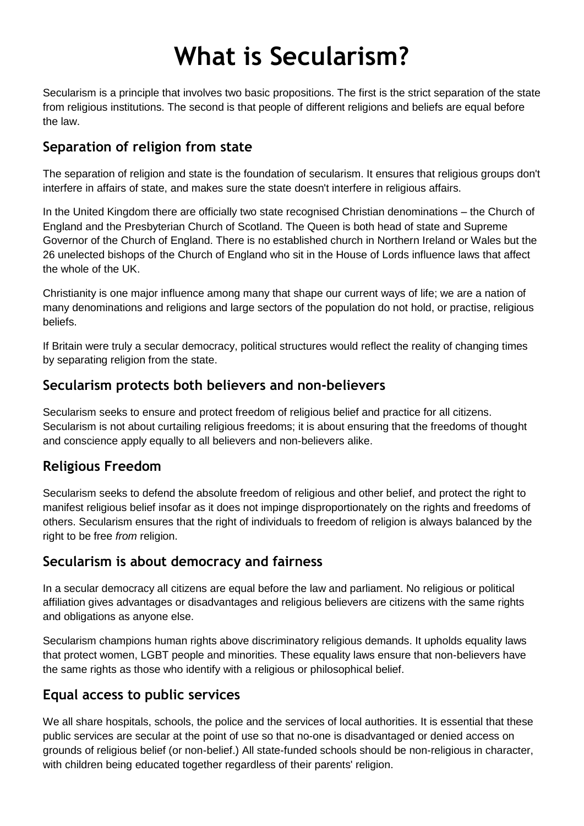# **What is Secularism?**

Secularism is a principle that involves two basic propositions. The first is the strict separation of the state from religious institutions. The second is that people of different religions and beliefs are equal before the law.

## **Separation of religion from state**

The separation of religion and state is the foundation of secularism. It ensures that religious groups don't interfere in affairs of state, and makes sure the state doesn't interfere in religious affairs.

In the United Kingdom there are officially two state recognised Christian denominations – the Church of England and the Presbyterian Church of Scotland. The Queen is both head of state and Supreme Governor of the Church of England. There is no established church in Northern Ireland or Wales but the 26 unelected bishops of the Church of England who sit in the House of Lords influence laws that affect the whole of the UK.

Christianity is one major influence among many that shape our current ways of life; we are a nation of many denominations and religions and large sectors of the population do not hold, or practise, religious beliefs.

If Britain were truly a secular democracy, political structures would reflect the reality of changing times by separating religion from the state.

### **Secularism protects both believers and non-believers**

Secularism seeks to ensure and protect freedom of religious belief and practice for all citizens. Secularism is not about curtailing religious freedoms; it is about ensuring that the freedoms of thought and conscience apply equally to all believers and non-believers alike.

### **Religious Freedom**

Secularism seeks to defend the absolute freedom of religious and other belief, and protect the right to manifest religious belief insofar as it does not impinge disproportionately on the rights and freedoms of others. Secularism ensures that the right of individuals to freedom of religion is always balanced by the right to be free *from* religion.

# **Secularism is about democracy and fairness**

In a secular democracy all citizens are equal before the law and parliament. No religious or political affiliation gives advantages or disadvantages and religious believers are citizens with the same rights and obligations as anyone else.

Secularism champions human rights above discriminatory religious demands. It upholds equality laws that protect women, LGBT people and minorities. These equality laws ensure that non-believers have the same rights as those who identify with a religious or philosophical belief.

# **Equal access to public services**

We all share hospitals, schools, the police and the services of local authorities. It is essential that these public services are secular at the point of use so that no-one is disadvantaged or denied access on grounds of religious belief (or non-belief.) All state-funded schools should be non-religious in character, with children being educated together regardless of their parents' religion.